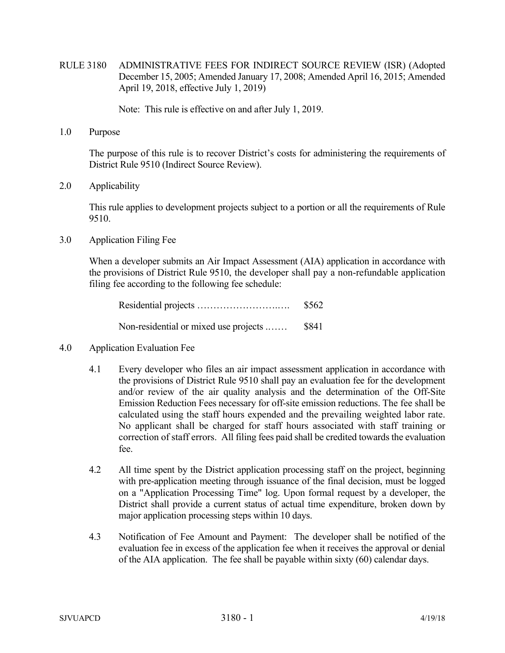RULE 3180 ADMINISTRATIVE FEES FOR INDIRECT SOURCE REVIEW (ISR) (Adopted December 15, 2005; Amended January 17, 2008; Amended April 16, 2015; Amended April 19, 2018, effective July 1, 2019)

Note: This rule is effective on and after July 1, 2019.

1.0 Purpose

The purpose of this rule is to recover District's costs for administering the requirements of District Rule 9510 (Indirect Source Review).

2.0 Applicability

This rule applies to development projects subject to a portion or all the requirements of Rule 9510.

3.0 Application Filing Fee

When a developer submits an Air Impact Assessment (AIA) application in accordance with the provisions of District Rule 9510, the developer shall pay a non-refundable application filing fee according to the following fee schedule:

|                                              | \$562 |
|----------------------------------------------|-------|
| Non-residential or mixed use projects  \$841 |       |

- 4.0 Application Evaluation Fee
	- 4.1 Every developer who files an air impact assessment application in accordance with the provisions of District Rule 9510 shall pay an evaluation fee for the development and/or review of the air quality analysis and the determination of the Off-Site Emission Reduction Fees necessary for off-site emission reductions. The fee shall be calculated using the staff hours expended and the prevailing weighted labor rate. No applicant shall be charged for staff hours associated with staff training or correction of staff errors. All filing fees paid shall be credited towards the evaluation fee.
	- 4.2 All time spent by the District application processing staff on the project, beginning with pre-application meeting through issuance of the final decision, must be logged on a "Application Processing Time" log. Upon formal request by a developer, the District shall provide a current status of actual time expenditure, broken down by major application processing steps within 10 days.
	- 4.3 Notification of Fee Amount and Payment: The developer shall be notified of the evaluation fee in excess of the application fee when it receives the approval or denial of the AIA application. The fee shall be payable within sixty (60) calendar days.